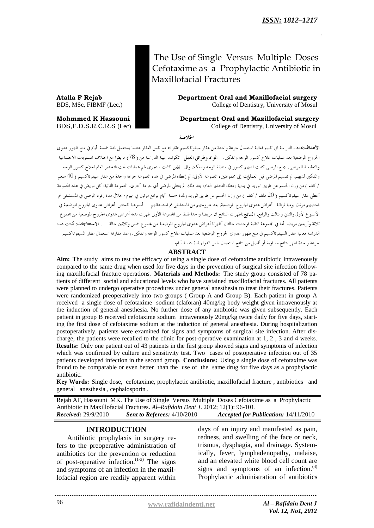The Use of Single Versus Multiple Doses Cefotaxime as a Prophylactic Antibiotic in Maxillofacial Fractures

**Atalla F Rejab Department Oral and Maxillofacial surgery** BDS, MSc, FIBMF (Lec.) College of Dentistry, University of Mosul

**Mohmmed K Hassouni Department Oral and Maxillofacial surgery** BDS,F.D.S.R.C.R.S (Lec) College of Dentistry, University of Mosul

الخلاصة

الأهداف:تمدف الدراسة الى تقييم فعالية استعمال جرعة واحدة من عقار سيفوتاكسيم بمقارنته مع نفس العقار عندما يستعمل لمدة حمسة أيام في منع ظهور عدوى .<br>الجروح الموضعية بعد عمليات علاج كسور الوجه والفكين. ا**لمواد وطرائق العمل** : تكونت عينة الدراسة من ( 78) مريض! مع اختلاف المستويات الاجتماعية والتعليمية للمرضى. جميع المرضى كانت لديهم كسور في منطقة الوجه والفكين وال لذين كانت ستجرى لهم عمليات تحت التحدير العام لعلاج كسور الوجه والفكين لديهم. تم تقسيم المرضى قبل العمليات إلى بحموعتين، المجموعة الأولى: تم إعطاء المرضى في هذه المجموعة جرعة واحدة من عقار سيفوتاكسيم (40 ملغم / كغم ) من وزن الجسم عن طريق الوريد في بداية إعطاء التخدير العام، بعد ذلك لم يعطي المرضى أي جرعة أخرى. المحموعة الثانية: كل مريض في هذه المجموعة أعطى عقار سيفوتاكسيم ( 20 ملغم / كغم ) من وزن الجسم عن طريق الوريد ولمدة خمسة أيام بواقع مرتين في اليوم . حلال مدة رقود المرضى في المستشفى تم .<br>فحصهم مرتان يوميا لمراقبة أعراض عدوى الجروح الموضعية. بعد حروجهم من المستشفى تم استدعائهم أسبوعيا لفحص أعراض عدوى الجروح الموضعية في الأسبوع الأول والثاني والثالث والرابع. النتائج:اظهرت النتائج ان مريضا واحدا فقط من المحموعة الأولى ظهرت لديه أعراض عدوى الجروح الموضعية من مجموع .<br>ثلاثة وأربعين مريضا. أما في المجموعة الثانية فوجدت حالتان أظهرتا أعراض عدوى الجروح الموضعية من مجمع ع خمس وثلاثين حالة مصم المستنتاجات: أثبتت هذه الدراسة فعالية عقار السيفوتاكسيم في منع ظهور عدوى الجروح الموضعية بعد عمليات علاج كسور الوحه والفكين. وعند مقارنة استعمال عقار السيفوتاكسيم .<br>جرعة واحدة اظهر نتائج مساوية أو أفضل من نتائج استعمال نفس الدواء لمدة خمسة أيام.

#### **ABSTRACT**

**Aim:** The study aims to test the efficacy of using a single dose of cefotaxime antibiotic intravenously compared to the same drug when used for five days in the prevention of surgical site infection following maxillofacial fracture operations. **Materials and Methods:** The study group consisted of 78 patients of different social and educational levels who have sustained maxillofacial fractures. All patients were planned to undergo operative procedures under general anesthesia to treat their fractures. Patients were randomized preoperatively into two groups ( Group A and Group B). Each patient in group A received a single dose of cefotaxime sodium (claforan) 40mg/kg body weight given intravenously at the induction of general anesthesia. No further dose of any antibiotic was given subsequently. Each patient in group B received cefotaxime sodium intravenously 20mg/kg twice daily for five days, starting the first dose of cefotaxime sodium at the induction of general anesthesia. During hospitalization postoperatively, patients were examined for signs and symptoms of surgical site infection. After discharge, the patients were recalled to the clinic for post-operative examination at 1, 2 , 3 and 4 weeks. **Results:** Only one patient out of 43 patients in the first group showed signs and symptoms of infection which was confirmed by culture and sensitivity test. Two cases of postoperative infection out of 35 patients developed infection in the second group. **Conclusions:** Using a single dose of cefotaxime was found to be comparable or even better than the use of the same drug for five days as a prophylactic antibiotic.

**Key Words:** Single dose, cefotaxime, prophylactic antibiotic, maxillofacial fracture , antibiotics and general anesthesia , cephalosporin .

Rejab AF, Hassouni MK. The Use of Single Versus Multiple Doses Cefotaxime as a Prophylactic Antibiotic in Maxillofacial Fractures. *Al–Rafidain Dent J*. 2012; 12(1): 96-101. *Received:* 29/9/2010 *Sent to Referees:* 4/10/2010 *Accepted for Publication:* 14/11/2010

#### **INTRODUCTION**

Antibiotic prophylaxis in surgery refers to the preoperative administration of antibiotics for the prevention or reduction of post-operative infection. $(1-3)$  The signs and symptoms of an infection in the maxillofacial region are readily apparent within

days of an injury and manifested as pain, redness, and swelling of the face or neck, trismus, dysphagia, and drainage. Systemically, fever, lymphadenopathy, malaise, and an elevated white blood cell count are signs and symptoms of an infection. $<sup>(4)</sup>$ </sup> Prophylactic administration of antibiotics

96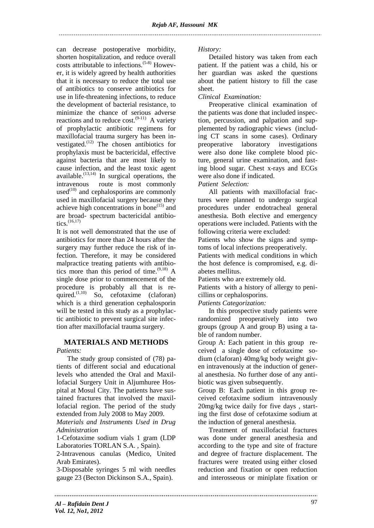can decrease postoperative morbidity, shorten hospitalization, and reduce overall costs attributable to infections.(5-8) However, it is widely agreed by health authorities that it is necessary to reduce the total use of antibiotics to conserve antibiotics for use in life-threatening infections, to reduce the development of bacterial resistance, to minimize the chance of serious adverse reactions and to reduce  $cost.^{(9-11)}$  A variety of prophylactic antibiotic regimens for maxillofacial trauma surgery has been investigated. $(12)$  The chosen antibiotics for prophylaxis must be bactericidal, effective against bacteria that are most likely to cause infection, and the least toxic agent available.<sup> $(13,14)$ </sup> In surgical operations, the intravenous route is most commonly used $^{(10)}$  and cephalosporins are commonly used in maxillofacial surgery because they achieve high concentrations in bone $^{(15)}$  and are broad- spectrum bactericidal antibiotics. $(16,17)$ 

It is not well demonstrated that the use of antibiotics for more than 24 hours after the surgery may further reduce the risk of infection. Therefore, it may be considered malpractice treating patients with antibiotics more than this period of time.  $(9,18)$  A single dose prior to commencement of the procedure is probably all that is required.<sup> $(1,10)$ </sup> So, cefotaxime (claforan) which is a third generation cephalosporin will be tested in this study as a prophylactic antibiotic to prevent surgical site infection after maxillofacial trauma surgery.

# **MATERIALS AND METHODS**

*Patients:*

The study group consisted of (78) patients of different social and educational levels who attended the Oral and Maxillofacial Surgery Unit in Aljumhuree Hospital at Mosul City. The patients have sustained fractures that involved the maxillofacial region. The period of the study extended from July 2008 to May 2009.

*Materials and Instruments Used in Drug Administration* 

1-Cefotaxime sodium vials 1 gram (LDP Laboratories TORLAN S.A. , Spain).

2-Intravenous canulas (Medico, United Arab Emirates).

3-Disposable syringes 5 ml with needles gauge 23 (Becton Dickinson S.A., Spain).

*History:*

Detailed history was taken from each patient. If the patient was a child, his or her guardian was asked the questions about the patient history to fill the case sheet.

*Clinical Examination:*

Preoperative clinical examination of the patients was done that included inspection, percussion, and palpation and supplemented by radiographic views (including CT scans in some cases). Ordinary preoperative laboratory investigations were also done like complete blood picture, general urine examination, and fasting blood sugar. Chest x-rays and ECGs were also done if indicated.

# *Patient Selection:*

All patients with maxillofacial fractures were planned to undergo surgical procedures under endotracheal general anesthesia. Both elective and emergency operations were included. Patients with the following criteria were excluded:

Patients who show the signs and symptoms of local infections preoperatively.

Patients with medical conditions in which the host defence is compromised, e.g. diabetes mellitus.

Patients who are extremely old.

Patients with a history of allergy to penicillins or cephalosporins.

*Patients Categorization:*

In this prospective study patients were randomized preoperatively into two groups (group A and group B) using a table of random number.

Group A: Each patient in this group received a single dose of cefotaxime sodium (claforan) 40mg/kg body weight given intravenously at the induction of general anesthesia. No further dose of any antibiotic was given subsequently.

Group B: Each patient in this group received cefotaxime sodium intravenously 20mg/kg twice daily for five days , starting the first dose of cefotaxime sodium at the induction of general anesthesia.

Treatment of maxillofacial fractures was done under general anesthesia and according to the type and site of fracture and degree of fracture displacement. The fractures were treated using either closed reduction and fixation or open reduction and interosseous or miniplate fixation or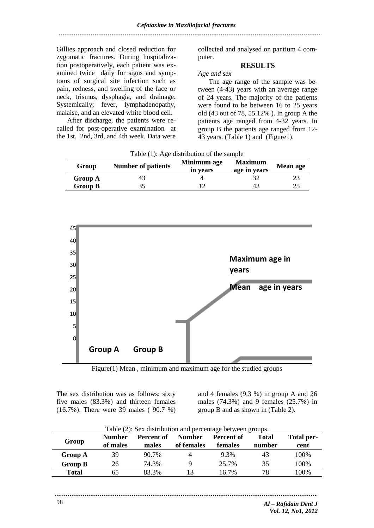Gillies approach and closed reduction for zygomatic fractures. During hospitalization postoperatively, each patient was examined twice daily for signs and symptoms of surgical site infection such as pain, redness, and swelling of the face or neck, trismus, dysphagia, and drainage. Systemically; fever, lymphadenopathy, malaise, and an elevated white blood cell.

After discharge, the patients were recalled for post-operative examination at the 1st, 2nd, 3rd, and 4th week. Data were

collected and analysed on pantium 4 computer.

## **RESULTS**

*Age and sex*

The age range of the sample was between (4-43) years with an average range of 24 years. The majority of the patients were found to be between 16 to 25 years old (43 out of 78, 55.12% ). In group A the patients age ranged from 4-32 years. In group B the patients age ranged from 12- 43 years. (Table 1) and (Figure1).

| Group          | <b>Number of patients</b> | Minimum age<br>in vears | <b>Maximum</b><br>age in years | <b>Mean age</b> |
|----------------|---------------------------|-------------------------|--------------------------------|-----------------|
| Group A        | 49                        |                         |                                |                 |
| <b>Group B</b> |                           |                         | 4.                             | n,              |

Table (1): Age distribution of the sample



Figure(1) Mean , minimum and maximum age for the studied groups

The sex distribution was as follows: sixty five males (83.3%) and thirteen females (16.7%). There were 39 males ( 90.7 %)

and 4 females (9.3 %) in group A and 26 males (74.3%) and 9 females (25.7%) in group B and as shown in (Table 2).

| Table (2): Sex distribution and percentage between groups. |                           |                     |                             |                              |                        |                    |
|------------------------------------------------------------|---------------------------|---------------------|-----------------------------|------------------------------|------------------------|--------------------|
| Group                                                      | <b>Number</b><br>of males | Percent of<br>males | <b>Number</b><br>of females | Percent of<br><b>females</b> | <b>Total</b><br>number | Total per-<br>cent |
| <b>Group A</b>                                             | 39                        | 90.7%               | 4                           | 9.3%                         | 43                     | 100\%              |
| Group B                                                    | 26                        | 74.3%               | Q                           | 25.7%                        | 35                     | 100\%              |
| <b>Total</b>                                               | 65                        | 83.3%               | 13                          | 16.7%                        | 78                     | 100%               |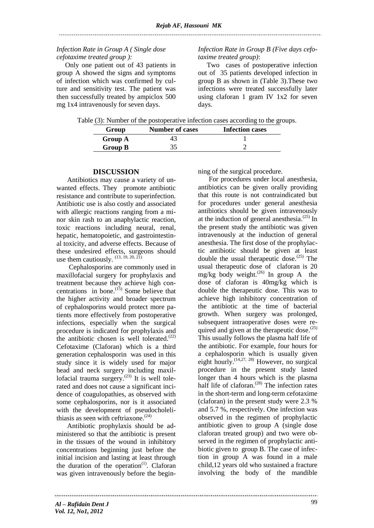## *Infection Rate in Group A ( Single dose cefotaxime treated group ):*

 Only one patient out of 43 patients in group A showed the signs and symptoms of infection which was confirmed by culture and sensitivity test. The patient was then successfully treated by ampiclox 500 mg 1x4 intravenously for seven days.

*Infection Rate in Group B (Five days cefotaxime treated group)*:

 Two cases of postoperative infection out of 35 patients developed infection in group B as shown in (Table 3).These two infections were treated successfully later using claforan 1 gram IV 1x2 for seven days.

|  |  |  |  | Table (3): Number of the postoperative infection cases according to the groups. |  |  |
|--|--|--|--|---------------------------------------------------------------------------------|--|--|
|  |  |  |  |                                                                                 |  |  |

| Group          | <b>Number of cases</b> | <b>Infection cases</b> |
|----------------|------------------------|------------------------|
| <b>Group A</b> |                        |                        |
| <b>Group B</b> |                        |                        |

### **DISCUSSION**

Antibiotics may cause a variety of unwanted effects. They promote antibiotic resistance and contribute to superinfection. Antibiotic use is also costly and associated with allergic reactions ranging from a minor skin rash to an anaphylactic reaction, toxic reactions including neural, renal, hepatic, hematopoietic, and gastrointestinal toxicity, and adverse effects. Because of these undesired effects, surgeons should use them cautiously.  $^{(13, 19, 20, 2\bar{1})}$ 

Cephalosporins are commonly used in maxillofacial surgery for prophylaxis and treatment because they achieve high concentrations in bone.  $(15)$  Some believe that the higher activity and broader spectrum of cephalosporins would protect more patients more effectively from postoperative infections, especially when the surgical procedure is indicated for prophylaxis and the antibiotic chosen is well tolerated. $(22)$ Cefotaxime (Claforan) which is a third generation cephalosporin was used in this study since it is widely used for major head and neck surgery including maxillofacial trauma surgery. $(23)$  It is well tolerated and does not cause a significant incidence of coagulopathies, as observed with some cephalosporins, nor is it associated with the development of pseudocholelithiasis as seen with ceftriaxone. $(24)$ 

Antibiotic prophylaxis should be administered so that the antibiotic is present in the tissues of the wound in inhibitory concentrations beginning just before the initial incision and lasting at least through the duration of the operation<sup> $(1)$ </sup>. Claforan was given intravenously before the beginning of the surgical procedure.

For procedures under local anesthesia, antibiotics can be given orally providing that this route is not contraindicated but for procedures under general anesthesia antibiotics should be given intravenously at the induction of general anesthesia. $^{(25)}$  In the present study the antibiotic was given intravenously at the induction of general anesthesia. The first dose of the prophylactic antibiotic should be given at least double the usual therapeutic dose. $^{(25)}$  The usual therapeutic dose of claforan is 20 mg/kg body weight. (26) In group A the dose of claforan is 40mg/kg which is double the therapeutic dose. This was to achieve high inhibitory concentration of the antibiotic at the time of bacterial growth. When surgery was prolonged, subsequent intraoperative doses were required and given at the therapeutic dose.<sup>(25)</sup> This usually follows the plasma half life of the antibiotic. For example, four hours for a cephalosporin which is usually given eight hourly. (14,27, 28) However, no surgical procedure in the present study lasted longer than 4 hours which is the plasma half life of claforan.<sup>(28)</sup> The infection rates in the short-term and long-term cefotaxime (claforan) in the present study were 2.3 % and 5.7 %, respectively. One infection was observed in the regimen of prophylactic antibiotic given to group A (single dose claforan treated group) and two were observed in the regimen of prophylactic antibiotic given to group B. The case of infection in group A was found in a male child,12 years old who sustained a fracture involving the body of the mandible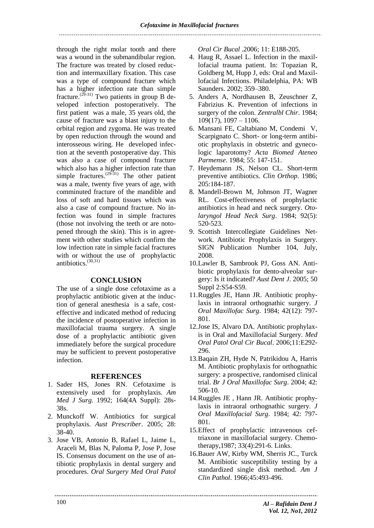through the right molar tooth and there was a wound in the submandibular region. The fracture was treated by closed reduction and intermaxillary fixation. This case was a type of compound fracture which has a higher infection rate than simple fracture.<sup>(29-31)</sup> Two patients in group B developed infection postoperatively. The first patient was a male, 35 years old, the cause of fracture was a blast injury to the orbital region and zygoma. He was treated by open reduction through the wound and interosseous wiring. He developed infection at the seventh postoperative day. This was also a case of compound fracture which also has a higher infection rate than simple fractures.  $(29\frac{31}{1})$  The other patient was a male, twenty five years of age, with comminuted fracture of the mandible and loss of soft and hard tissues which was also a case of compound fracture. No infection was found in simple fractures (those not involving the teeth or are notopened through the skin). This is in agreement with other studies which confirm the low infection rate in simple facial fractures with or without the use of prophylactic antibiotics. (30,31)

## **CONCLUSION**

The use of a single dose cefotaxime as a prophylactic antibiotic given at the induction of general anesthesia is a safe, costeffective and indicated method of reducing the incidence of postoperative infection in maxillofacial trauma surgery. A single dose of a prophylactic antibiotic given immediately before the surgical procedure may be sufficient to prevent postoperative infection.

### **REFERENCES**

- 1. Sader HS, Jones RN. Cefotaxime is extensively used for prophylaxis. *Am Med J Surg*. 1992; 164(4A Suppl): 28s-38s.
- 2. Munckoff W. Antibiotics for surgical prophylaxis. *Aust Prescriber*. 2005; 28: 38-40.
- 3. Jose VB, Antonio B, Rafael L, Jaime L, Araceli M, Blas N, Paloma P, Jose P, Jose IS. Consensus document on the use of antibiotic prophylaxis in dental surgery and procedures. *Oral Surgery Med Oral Patol*

*Oral Cir Bucal* .2006; 11: E188-205.

- 4. Haug R, Assael L. Infection in the maxillofacial trauma patient. In: Topazian R, Goldberg M, Hupp J, eds: Oral and Maxillofacial Infections. Philadelphia, PA: WB Saunders. 2002; 359–380.
- 5. Anders A, Nordhausen B, Zeuschner Z, Fabrizius K. Prevention of infections in surgery of the colon. *Zentralbl Chir*. 1984;  $109(17)$ ,  $1097 - 1106$ .
- 6. Mansani FE, Caltabiano M, Condemi V, Scarpignato C. Short- or long-term antibiotic prophylaxis in obstetric and gynecologic laparotomy? *Acta Biomed Ateneo Parmense*. 1984; 55: 147-151.
- 7. Heydemann JS, Nelson CL. Short-term preventive antibiotics. *Clin Orthop*. 1986; 205:184-187.
- 8. Mandell-Brown M, Johnson JT, Wagner RL. Cost-effectiveness of prophylactic antibiotics in head and neck surgery. *Otolaryngol Head Neck Surg*. 1984; 92(5): 520-523.
- 9. Scottish Intercollegiate Guidelines Network. Antibiotic Prophylaxis in Surgery. SIGN Publication Number 104, July, 2008.
- 10.Lawler B, Sambrook PJ, Goss AN. Antibiotic prophylaxis for dento-alveolar surgery: Is it indicated? *Aust Dent J*. 2005; 50 Suppl 2:S54-S59.
- 11.Ruggles JE, Hann JR. Antibiotic prophylaxis in intraoral orthognathic surgery. *J Oral Maxillofac Surg*. 1984; 42(12): 797- 801.
- 12.Jose IS, Alvaro DA. Antibiotic prophylaxis in Oral and Maxillofacial Surgery. *Med Oral Patol Oral Cir Bucal*. 2006;11:E292- 296.
- 13.Baqain ZH, Hyde N, Patrikidou A, Harris M. Antibiotic prophylaxis for orthognathic surgery: a prospective, randomised clinical trial. *Br J Oral Maxillofac Surg*. 2004; 42: 506-10.
- 14.Ruggles JE , Hann JR. Antibiotic prophylaxis in intraoral orthognathic surgery. *J Oral Maxillofacial Surg*. 1984; 42: 797- 801.
- 15.Effect of prophylactic intravenous ceftriaxone in maxillofacial surgery. Chemotherapy,1987; 33(4):291-6. Links.
- 16.Bauer AW, Kirby WM, Sherris JC., Turck M. Antibiotic susceptibility testing by a standardized single disk method. *Am J Clin Pathol*. 1966;45:493-496.